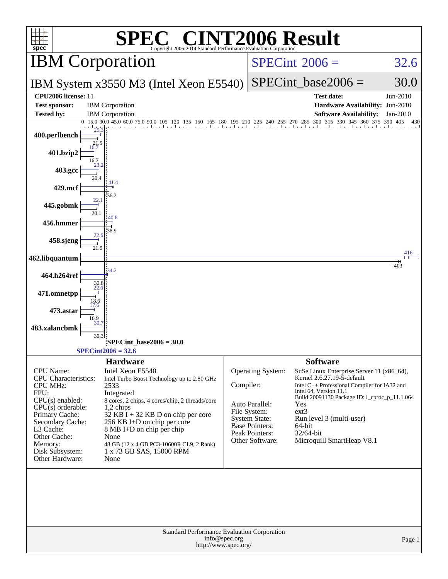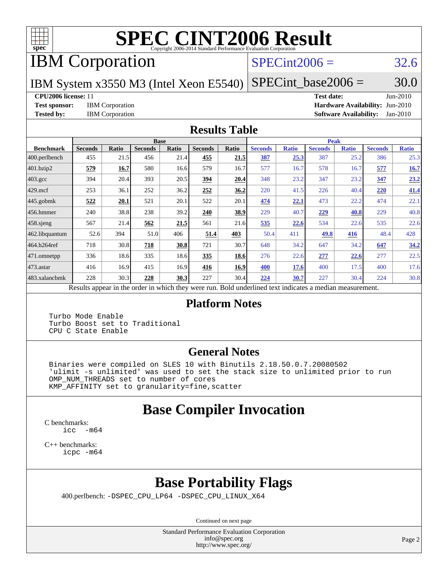

# **[SPEC CINT2006 Result](http://www.spec.org/auto/cpu2006/Docs/result-fields.html#SPECCINT2006Result)**

# IBM Corporation

### $SPECint2006 = 32.6$  $SPECint2006 = 32.6$

IBM System x3550 M3 (Intel Xeon E5540)

 $SPECTnt\_base2006 = 30.0$ 

### **[CPU2006 license:](http://www.spec.org/auto/cpu2006/Docs/result-fields.html#CPU2006license)** 11 **[Test date:](http://www.spec.org/auto/cpu2006/Docs/result-fields.html#Testdate)** Jun-2010

**[Test sponsor:](http://www.spec.org/auto/cpu2006/Docs/result-fields.html#Testsponsor)** IBM Corporation **[Hardware Availability:](http://www.spec.org/auto/cpu2006/Docs/result-fields.html#HardwareAvailability)** Jun-2010 **[Tested by:](http://www.spec.org/auto/cpu2006/Docs/result-fields.html#Testedby)** IBM Corporation **[Software Availability:](http://www.spec.org/auto/cpu2006/Docs/result-fields.html#SoftwareAvailability)** Jan-2010

### **[Results Table](http://www.spec.org/auto/cpu2006/Docs/result-fields.html#ResultsTable)**

|                    |                                                              |              | <b>Base</b>    |       |                |       |                                            |              | <b>Peak</b>    |              |                |              |
|--------------------|--------------------------------------------------------------|--------------|----------------|-------|----------------|-------|--------------------------------------------|--------------|----------------|--------------|----------------|--------------|
| <b>Benchmark</b>   | <b>Seconds</b>                                               | <b>Ratio</b> | <b>Seconds</b> | Ratio | <b>Seconds</b> | Ratio | <b>Seconds</b>                             | <b>Ratio</b> | <b>Seconds</b> | <b>Ratio</b> | <b>Seconds</b> | <b>Ratio</b> |
| $ 400$ .perlbench  | 455                                                          | 21.5         | 456            | 21.4  | 455            | 21.5  | 387                                        | 25.3         | 387            | 25.2         | 386            | 25.3         |
| 401.bzip2          | 579                                                          | 16.7         | 580            | 16.6  | 579            | 16.7  | 577                                        | 16.7         | 578            | 16.7         | 577            | 16.7         |
| $403.\mathrm{gcc}$ | 394                                                          | 20.4         | 393            | 20.5  | <u>394</u>     | 20.4  | 348                                        | 23.2         | 347            | 23.2         | 347            | 23.2         |
| $429$ mcf          | 253                                                          | 36.1         | 252            | 36.2  | 252            | 36.2  | 220                                        | 41.5         | 226            | 40.4         | 220            | 41.4         |
| $445$ .gobmk       | 522                                                          | 20.1         | 521            | 20.1  | 522            | 20.1  | 474                                        | 22.1         | 473            | 22.2         | 474            | 22.1         |
| 456.hmmer          | 240                                                          | 38.8         | 238            | 39.2  | 240            | 38.9  | 229                                        | 40.7         | 229            | 40.8         | 229            | 40.8         |
| $458$ .sjeng       | 567                                                          | 21.4         | 562            | 21.5  | 561            | 21.6  | 535                                        | 22.6         | 534            | 22.6         | 535            | 22.6         |
| 462.libquantum     | 52.6                                                         | 394          | 51.0           | 406   | 51.4           | 403   | 50.4                                       | 411          | 49.8           | 416          | 48.4           | 428          |
| 464.h264ref        | 718                                                          | 30.8         | 718            | 30.8  | 721            | 30.7  | 648                                        | 34.2         | 647            | 34.2         | 647            | 34.2         |
| 471.omnetpp        | 336                                                          | 18.6         | 335            | 18.6  | 335            | 18.6  | 276                                        | 22.6         | 277            | 22.6         | 277            | 22.5         |
| $ 473$ . astar     | 416                                                          | 16.9         | 415            | 16.9  | 416            | 16.9  | 400                                        | 17.6         | 400            | 17.5         | 400            | 17.6         |
| 483.xalancbmk      | 228                                                          | 30.3         | 228            | 30.3  | 227            | 30.4  | 224                                        | 30.7         | 227            | 30.4         | 224            | 30.8         |
|                    | Describe announced in the conduction with the those weakened |              |                |       |                |       | Deld and called to an indicate on a madian |              |                |              |                |              |

Results appear in the [order in which they were run.](http://www.spec.org/auto/cpu2006/Docs/result-fields.html#RunOrder) Bold underlined text [indicates a median measurement.](http://www.spec.org/auto/cpu2006/Docs/result-fields.html#Median)

### **[Platform Notes](http://www.spec.org/auto/cpu2006/Docs/result-fields.html#PlatformNotes)**

 Turbo Mode Enable Turbo Boost set to Traditional CPU C State Enable

### **[General Notes](http://www.spec.org/auto/cpu2006/Docs/result-fields.html#GeneralNotes)**

 Binaries were compiled on SLES 10 with Binutils 2.18.50.0.7.20080502 'ulimit -s unlimited' was used to set the stack size to unlimited prior to run OMP\_NUM\_THREADS set to number of cores KMP\_AFFINITY set to granularity=fine,scatter

### **[Base Compiler Invocation](http://www.spec.org/auto/cpu2006/Docs/result-fields.html#BaseCompilerInvocation)**

[C benchmarks](http://www.spec.org/auto/cpu2006/Docs/result-fields.html#Cbenchmarks): [icc -m64](http://www.spec.org/cpu2006/results/res2010q3/cpu2006-20100621-11837.flags.html#user_CCbase_intel_icc_64bit_f346026e86af2a669e726fe758c88044)

[C++ benchmarks:](http://www.spec.org/auto/cpu2006/Docs/result-fields.html#CXXbenchmarks) [icpc -m64](http://www.spec.org/cpu2006/results/res2010q3/cpu2006-20100621-11837.flags.html#user_CXXbase_intel_icpc_64bit_fc66a5337ce925472a5c54ad6a0de310)

## **[Base Portability Flags](http://www.spec.org/auto/cpu2006/Docs/result-fields.html#BasePortabilityFlags)**

400.perlbench: [-DSPEC\\_CPU\\_LP64](http://www.spec.org/cpu2006/results/res2010q3/cpu2006-20100621-11837.flags.html#b400.perlbench_basePORTABILITY_DSPEC_CPU_LP64) [-DSPEC\\_CPU\\_LINUX\\_X64](http://www.spec.org/cpu2006/results/res2010q3/cpu2006-20100621-11837.flags.html#b400.perlbench_baseCPORTABILITY_DSPEC_CPU_LINUX_X64)

Continued on next page

Standard Performance Evaluation Corporation [info@spec.org](mailto:info@spec.org) <http://www.spec.org/>

Page 2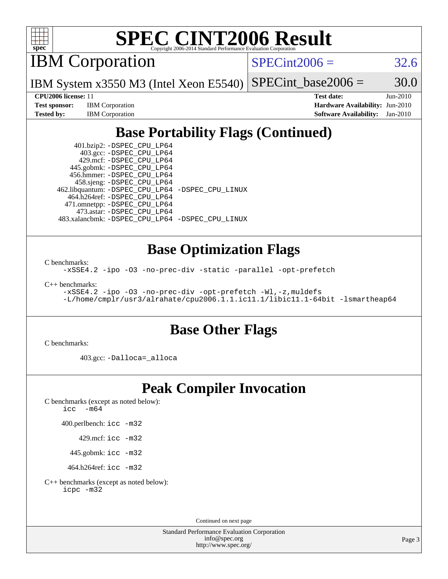

# **[SPEC CINT2006 Result](http://www.spec.org/auto/cpu2006/Docs/result-fields.html#SPECCINT2006Result)**

IBM Corporation

 $SPECint2006 = 32.6$  $SPECint2006 = 32.6$ 

IBM System x3550 M3 (Intel Xeon E5540)  $SPECTnt\_base2006 = 30.0$ 

**[Test sponsor:](http://www.spec.org/auto/cpu2006/Docs/result-fields.html#Testsponsor)** IBM Corporation **[Hardware Availability:](http://www.spec.org/auto/cpu2006/Docs/result-fields.html#HardwareAvailability)** Jun-2010

**[CPU2006 license:](http://www.spec.org/auto/cpu2006/Docs/result-fields.html#CPU2006license)** 11 **[Test date:](http://www.spec.org/auto/cpu2006/Docs/result-fields.html#Testdate)** Jun-2010 **[Tested by:](http://www.spec.org/auto/cpu2006/Docs/result-fields.html#Testedby)** IBM Corporation **[Software Availability:](http://www.spec.org/auto/cpu2006/Docs/result-fields.html#SoftwareAvailability)** Jan-2010

## **[Base Portability Flags \(Continued\)](http://www.spec.org/auto/cpu2006/Docs/result-fields.html#BasePortabilityFlags)**

 401.bzip2: [-DSPEC\\_CPU\\_LP64](http://www.spec.org/cpu2006/results/res2010q3/cpu2006-20100621-11837.flags.html#suite_basePORTABILITY401_bzip2_DSPEC_CPU_LP64) 403.gcc: [-DSPEC\\_CPU\\_LP64](http://www.spec.org/cpu2006/results/res2010q3/cpu2006-20100621-11837.flags.html#suite_basePORTABILITY403_gcc_DSPEC_CPU_LP64) 429.mcf: [-DSPEC\\_CPU\\_LP64](http://www.spec.org/cpu2006/results/res2010q3/cpu2006-20100621-11837.flags.html#suite_basePORTABILITY429_mcf_DSPEC_CPU_LP64) 445.gobmk: [-DSPEC\\_CPU\\_LP64](http://www.spec.org/cpu2006/results/res2010q3/cpu2006-20100621-11837.flags.html#suite_basePORTABILITY445_gobmk_DSPEC_CPU_LP64) 456.hmmer: [-DSPEC\\_CPU\\_LP64](http://www.spec.org/cpu2006/results/res2010q3/cpu2006-20100621-11837.flags.html#suite_basePORTABILITY456_hmmer_DSPEC_CPU_LP64) 458.sjeng: [-DSPEC\\_CPU\\_LP64](http://www.spec.org/cpu2006/results/res2010q3/cpu2006-20100621-11837.flags.html#suite_basePORTABILITY458_sjeng_DSPEC_CPU_LP64) 462.libquantum: [-DSPEC\\_CPU\\_LP64](http://www.spec.org/cpu2006/results/res2010q3/cpu2006-20100621-11837.flags.html#suite_basePORTABILITY462_libquantum_DSPEC_CPU_LP64) [-DSPEC\\_CPU\\_LINUX](http://www.spec.org/cpu2006/results/res2010q3/cpu2006-20100621-11837.flags.html#b462.libquantum_baseCPORTABILITY_DSPEC_CPU_LINUX) 464.h264ref: [-DSPEC\\_CPU\\_LP64](http://www.spec.org/cpu2006/results/res2010q3/cpu2006-20100621-11837.flags.html#suite_basePORTABILITY464_h264ref_DSPEC_CPU_LP64) 471.omnetpp: [-DSPEC\\_CPU\\_LP64](http://www.spec.org/cpu2006/results/res2010q3/cpu2006-20100621-11837.flags.html#suite_basePORTABILITY471_omnetpp_DSPEC_CPU_LP64) 473.astar: [-DSPEC\\_CPU\\_LP64](http://www.spec.org/cpu2006/results/res2010q3/cpu2006-20100621-11837.flags.html#suite_basePORTABILITY473_astar_DSPEC_CPU_LP64) 483.xalancbmk: [-DSPEC\\_CPU\\_LP64](http://www.spec.org/cpu2006/results/res2010q3/cpu2006-20100621-11837.flags.html#suite_basePORTABILITY483_xalancbmk_DSPEC_CPU_LP64) [-DSPEC\\_CPU\\_LINUX](http://www.spec.org/cpu2006/results/res2010q3/cpu2006-20100621-11837.flags.html#b483.xalancbmk_baseCXXPORTABILITY_DSPEC_CPU_LINUX)

### **[Base Optimization Flags](http://www.spec.org/auto/cpu2006/Docs/result-fields.html#BaseOptimizationFlags)**

[C benchmarks](http://www.spec.org/auto/cpu2006/Docs/result-fields.html#Cbenchmarks):

[-xSSE4.2](http://www.spec.org/cpu2006/results/res2010q3/cpu2006-20100621-11837.flags.html#user_CCbase_f-xSSE42_f91528193cf0b216347adb8b939d4107) [-ipo](http://www.spec.org/cpu2006/results/res2010q3/cpu2006-20100621-11837.flags.html#user_CCbase_f-ipo) [-O3](http://www.spec.org/cpu2006/results/res2010q3/cpu2006-20100621-11837.flags.html#user_CCbase_f-O3) [-no-prec-div](http://www.spec.org/cpu2006/results/res2010q3/cpu2006-20100621-11837.flags.html#user_CCbase_f-no-prec-div) [-static](http://www.spec.org/cpu2006/results/res2010q3/cpu2006-20100621-11837.flags.html#user_CCbase_f-static) [-parallel](http://www.spec.org/cpu2006/results/res2010q3/cpu2006-20100621-11837.flags.html#user_CCbase_f-parallel) [-opt-prefetch](http://www.spec.org/cpu2006/results/res2010q3/cpu2006-20100621-11837.flags.html#user_CCbase_f-opt-prefetch)

[C++ benchmarks:](http://www.spec.org/auto/cpu2006/Docs/result-fields.html#CXXbenchmarks)

```
-xSSE4.2 -ipo -O3 -no-prec-div -opt-prefetch -Wl,-z,muldefs
-L/home/cmplr/usr3/alrahate/cpu2006.1.1.ic11.1/libic11.1-64bit -lsmartheap64
```
### **[Base Other Flags](http://www.spec.org/auto/cpu2006/Docs/result-fields.html#BaseOtherFlags)**

[C benchmarks](http://www.spec.org/auto/cpu2006/Docs/result-fields.html#Cbenchmarks):

403.gcc: [-Dalloca=\\_alloca](http://www.spec.org/cpu2006/results/res2010q3/cpu2006-20100621-11837.flags.html#b403.gcc_baseEXTRA_CFLAGS_Dalloca_be3056838c12de2578596ca5467af7f3)

### **[Peak Compiler Invocation](http://www.spec.org/auto/cpu2006/Docs/result-fields.html#PeakCompilerInvocation)**

[C benchmarks \(except as noted below\)](http://www.spec.org/auto/cpu2006/Docs/result-fields.html#Cbenchmarksexceptasnotedbelow): [icc -m64](http://www.spec.org/cpu2006/results/res2010q3/cpu2006-20100621-11837.flags.html#user_CCpeak_intel_icc_64bit_f346026e86af2a669e726fe758c88044)

400.perlbench: [icc -m32](http://www.spec.org/cpu2006/results/res2010q3/cpu2006-20100621-11837.flags.html#user_peakCCLD400_perlbench_intel_icc_32bit_a6a621f8d50482236b970c6ac5f55f93)

429.mcf: [icc -m32](http://www.spec.org/cpu2006/results/res2010q3/cpu2006-20100621-11837.flags.html#user_peakCCLD429_mcf_intel_icc_32bit_a6a621f8d50482236b970c6ac5f55f93)

445.gobmk: [icc -m32](http://www.spec.org/cpu2006/results/res2010q3/cpu2006-20100621-11837.flags.html#user_peakCCLD445_gobmk_intel_icc_32bit_a6a621f8d50482236b970c6ac5f55f93)

464.h264ref: [icc -m32](http://www.spec.org/cpu2006/results/res2010q3/cpu2006-20100621-11837.flags.html#user_peakCCLD464_h264ref_intel_icc_32bit_a6a621f8d50482236b970c6ac5f55f93)

[C++ benchmarks \(except as noted below\):](http://www.spec.org/auto/cpu2006/Docs/result-fields.html#CXXbenchmarksexceptasnotedbelow) [icpc -m32](http://www.spec.org/cpu2006/results/res2010q3/cpu2006-20100621-11837.flags.html#user_CXXpeak_intel_icpc_32bit_4e5a5ef1a53fd332b3c49e69c3330699)

Continued on next page

Standard Performance Evaluation Corporation [info@spec.org](mailto:info@spec.org) <http://www.spec.org/>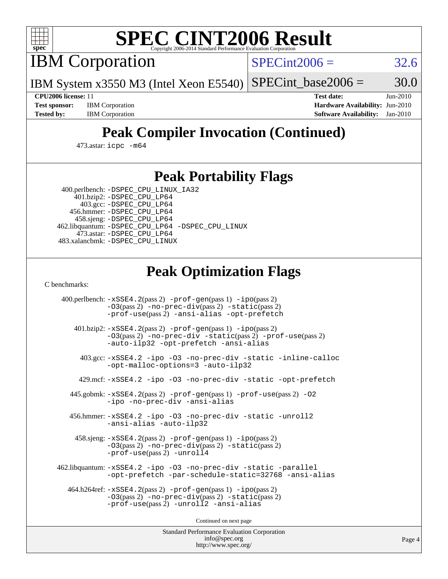

# **[SPEC CINT2006 Result](http://www.spec.org/auto/cpu2006/Docs/result-fields.html#SPECCINT2006Result)**

IBM Corporation

 $SPECint2006 = 32.6$  $SPECint2006 = 32.6$ 

IBM System x3550 M3 (Intel Xeon E5540)  $SPECTnt\_base2006 = 30.0$ 

**[Test sponsor:](http://www.spec.org/auto/cpu2006/Docs/result-fields.html#Testsponsor)** IBM Corporation **[Hardware Availability:](http://www.spec.org/auto/cpu2006/Docs/result-fields.html#HardwareAvailability)** Jun-2010

**[CPU2006 license:](http://www.spec.org/auto/cpu2006/Docs/result-fields.html#CPU2006license)** 11 **[Test date:](http://www.spec.org/auto/cpu2006/Docs/result-fields.html#Testdate)** Jun-2010 **[Tested by:](http://www.spec.org/auto/cpu2006/Docs/result-fields.html#Testedby)** IBM Corporation **[Software Availability:](http://www.spec.org/auto/cpu2006/Docs/result-fields.html#SoftwareAvailability)** Jan-2010

## **[Peak Compiler Invocation \(Continued\)](http://www.spec.org/auto/cpu2006/Docs/result-fields.html#PeakCompilerInvocation)**

473.astar: [icpc -m64](http://www.spec.org/cpu2006/results/res2010q3/cpu2006-20100621-11837.flags.html#user_peakCXXLD473_astar_intel_icpc_64bit_fc66a5337ce925472a5c54ad6a0de310)

### **[Peak Portability Flags](http://www.spec.org/auto/cpu2006/Docs/result-fields.html#PeakPortabilityFlags)**

 400.perlbench: [-DSPEC\\_CPU\\_LINUX\\_IA32](http://www.spec.org/cpu2006/results/res2010q3/cpu2006-20100621-11837.flags.html#b400.perlbench_peakCPORTABILITY_DSPEC_CPU_LINUX_IA32) 401.bzip2: [-DSPEC\\_CPU\\_LP64](http://www.spec.org/cpu2006/results/res2010q3/cpu2006-20100621-11837.flags.html#suite_peakPORTABILITY401_bzip2_DSPEC_CPU_LP64)

 403.gcc: [-DSPEC\\_CPU\\_LP64](http://www.spec.org/cpu2006/results/res2010q3/cpu2006-20100621-11837.flags.html#suite_peakPORTABILITY403_gcc_DSPEC_CPU_LP64) 456.hmmer: [-DSPEC\\_CPU\\_LP64](http://www.spec.org/cpu2006/results/res2010q3/cpu2006-20100621-11837.flags.html#suite_peakPORTABILITY456_hmmer_DSPEC_CPU_LP64) 458.sjeng: [-DSPEC\\_CPU\\_LP64](http://www.spec.org/cpu2006/results/res2010q3/cpu2006-20100621-11837.flags.html#suite_peakPORTABILITY458_sjeng_DSPEC_CPU_LP64) 462.libquantum: [-DSPEC\\_CPU\\_LP64](http://www.spec.org/cpu2006/results/res2010q3/cpu2006-20100621-11837.flags.html#suite_peakPORTABILITY462_libquantum_DSPEC_CPU_LP64) [-DSPEC\\_CPU\\_LINUX](http://www.spec.org/cpu2006/results/res2010q3/cpu2006-20100621-11837.flags.html#b462.libquantum_peakCPORTABILITY_DSPEC_CPU_LINUX) 473.astar: [-DSPEC\\_CPU\\_LP64](http://www.spec.org/cpu2006/results/res2010q3/cpu2006-20100621-11837.flags.html#suite_peakPORTABILITY473_astar_DSPEC_CPU_LP64) 483.xalancbmk: [-DSPEC\\_CPU\\_LINUX](http://www.spec.org/cpu2006/results/res2010q3/cpu2006-20100621-11837.flags.html#b483.xalancbmk_peakCXXPORTABILITY_DSPEC_CPU_LINUX)

### **[Peak Optimization Flags](http://www.spec.org/auto/cpu2006/Docs/result-fields.html#PeakOptimizationFlags)**

[C benchmarks](http://www.spec.org/auto/cpu2006/Docs/result-fields.html#Cbenchmarks):

 400.perlbench: [-xSSE4.2](http://www.spec.org/cpu2006/results/res2010q3/cpu2006-20100621-11837.flags.html#user_peakPASS2_CFLAGSPASS2_LDCFLAGS400_perlbench_f-xSSE42_f91528193cf0b216347adb8b939d4107)(pass 2) [-prof-gen](http://www.spec.org/cpu2006/results/res2010q3/cpu2006-20100621-11837.flags.html#user_peakPASS1_CFLAGSPASS1_LDCFLAGS400_perlbench_prof_gen_e43856698f6ca7b7e442dfd80e94a8fc)(pass 1) [-ipo](http://www.spec.org/cpu2006/results/res2010q3/cpu2006-20100621-11837.flags.html#user_peakPASS2_CFLAGSPASS2_LDCFLAGS400_perlbench_f-ipo)(pass 2) [-O3](http://www.spec.org/cpu2006/results/res2010q3/cpu2006-20100621-11837.flags.html#user_peakPASS2_CFLAGSPASS2_LDCFLAGS400_perlbench_f-O3)(pass 2) [-no-prec-div](http://www.spec.org/cpu2006/results/res2010q3/cpu2006-20100621-11837.flags.html#user_peakPASS2_CFLAGSPASS2_LDCFLAGS400_perlbench_f-no-prec-div)(pass 2) [-static](http://www.spec.org/cpu2006/results/res2010q3/cpu2006-20100621-11837.flags.html#user_peakPASS2_CFLAGSPASS2_LDCFLAGS400_perlbench_f-static)(pass 2) [-prof-use](http://www.spec.org/cpu2006/results/res2010q3/cpu2006-20100621-11837.flags.html#user_peakPASS2_CFLAGSPASS2_LDCFLAGS400_perlbench_prof_use_bccf7792157ff70d64e32fe3e1250b55)(pass 2) [-ansi-alias](http://www.spec.org/cpu2006/results/res2010q3/cpu2006-20100621-11837.flags.html#user_peakCOPTIMIZE400_perlbench_f-ansi-alias) [-opt-prefetch](http://www.spec.org/cpu2006/results/res2010q3/cpu2006-20100621-11837.flags.html#user_peakCOPTIMIZE400_perlbench_f-opt-prefetch) 401.bzip2: [-xSSE4.2](http://www.spec.org/cpu2006/results/res2010q3/cpu2006-20100621-11837.flags.html#user_peakPASS2_CFLAGSPASS2_LDCFLAGS401_bzip2_f-xSSE42_f91528193cf0b216347adb8b939d4107)(pass 2) [-prof-gen](http://www.spec.org/cpu2006/results/res2010q3/cpu2006-20100621-11837.flags.html#user_peakPASS1_CFLAGSPASS1_LDCFLAGS401_bzip2_prof_gen_e43856698f6ca7b7e442dfd80e94a8fc)(pass 1) [-ipo](http://www.spec.org/cpu2006/results/res2010q3/cpu2006-20100621-11837.flags.html#user_peakPASS2_CFLAGSPASS2_LDCFLAGS401_bzip2_f-ipo)(pass 2) [-O3](http://www.spec.org/cpu2006/results/res2010q3/cpu2006-20100621-11837.flags.html#user_peakPASS2_CFLAGSPASS2_LDCFLAGS401_bzip2_f-O3)(pass 2) [-no-prec-div](http://www.spec.org/cpu2006/results/res2010q3/cpu2006-20100621-11837.flags.html#user_peakCOPTIMIZEPASS2_CFLAGSPASS2_LDCFLAGS401_bzip2_f-no-prec-div) [-static](http://www.spec.org/cpu2006/results/res2010q3/cpu2006-20100621-11837.flags.html#user_peakPASS2_CFLAGSPASS2_LDCFLAGS401_bzip2_f-static)(pass 2) [-prof-use](http://www.spec.org/cpu2006/results/res2010q3/cpu2006-20100621-11837.flags.html#user_peakPASS2_CFLAGSPASS2_LDCFLAGS401_bzip2_prof_use_bccf7792157ff70d64e32fe3e1250b55)(pass 2) [-auto-ilp32](http://www.spec.org/cpu2006/results/res2010q3/cpu2006-20100621-11837.flags.html#user_peakCOPTIMIZE401_bzip2_f-auto-ilp32) [-opt-prefetch](http://www.spec.org/cpu2006/results/res2010q3/cpu2006-20100621-11837.flags.html#user_peakCOPTIMIZE401_bzip2_f-opt-prefetch) [-ansi-alias](http://www.spec.org/cpu2006/results/res2010q3/cpu2006-20100621-11837.flags.html#user_peakCOPTIMIZE401_bzip2_f-ansi-alias) 403.gcc: [-xSSE4.2](http://www.spec.org/cpu2006/results/res2010q3/cpu2006-20100621-11837.flags.html#user_peakCOPTIMIZE403_gcc_f-xSSE42_f91528193cf0b216347adb8b939d4107) [-ipo](http://www.spec.org/cpu2006/results/res2010q3/cpu2006-20100621-11837.flags.html#user_peakCOPTIMIZE403_gcc_f-ipo) [-O3](http://www.spec.org/cpu2006/results/res2010q3/cpu2006-20100621-11837.flags.html#user_peakCOPTIMIZE403_gcc_f-O3) [-no-prec-div](http://www.spec.org/cpu2006/results/res2010q3/cpu2006-20100621-11837.flags.html#user_peakCOPTIMIZE403_gcc_f-no-prec-div) [-static](http://www.spec.org/cpu2006/results/res2010q3/cpu2006-20100621-11837.flags.html#user_peakCOPTIMIZE403_gcc_f-static) [-inline-calloc](http://www.spec.org/cpu2006/results/res2010q3/cpu2006-20100621-11837.flags.html#user_peakCOPTIMIZE403_gcc_f-inline-calloc) [-opt-malloc-options=3](http://www.spec.org/cpu2006/results/res2010q3/cpu2006-20100621-11837.flags.html#user_peakCOPTIMIZE403_gcc_f-opt-malloc-options_13ab9b803cf986b4ee62f0a5998c2238) [-auto-ilp32](http://www.spec.org/cpu2006/results/res2010q3/cpu2006-20100621-11837.flags.html#user_peakCOPTIMIZE403_gcc_f-auto-ilp32) 429.mcf: [-xSSE4.2](http://www.spec.org/cpu2006/results/res2010q3/cpu2006-20100621-11837.flags.html#user_peakCOPTIMIZE429_mcf_f-xSSE42_f91528193cf0b216347adb8b939d4107) [-ipo](http://www.spec.org/cpu2006/results/res2010q3/cpu2006-20100621-11837.flags.html#user_peakCOPTIMIZE429_mcf_f-ipo) [-O3](http://www.spec.org/cpu2006/results/res2010q3/cpu2006-20100621-11837.flags.html#user_peakCOPTIMIZE429_mcf_f-O3) [-no-prec-div](http://www.spec.org/cpu2006/results/res2010q3/cpu2006-20100621-11837.flags.html#user_peakCOPTIMIZE429_mcf_f-no-prec-div) [-static](http://www.spec.org/cpu2006/results/res2010q3/cpu2006-20100621-11837.flags.html#user_peakCOPTIMIZE429_mcf_f-static) [-opt-prefetch](http://www.spec.org/cpu2006/results/res2010q3/cpu2006-20100621-11837.flags.html#user_peakCOPTIMIZE429_mcf_f-opt-prefetch) 445.gobmk: [-xSSE4.2](http://www.spec.org/cpu2006/results/res2010q3/cpu2006-20100621-11837.flags.html#user_peakPASS2_CFLAGSPASS2_LDCFLAGS445_gobmk_f-xSSE42_f91528193cf0b216347adb8b939d4107)(pass 2) [-prof-gen](http://www.spec.org/cpu2006/results/res2010q3/cpu2006-20100621-11837.flags.html#user_peakPASS1_CFLAGSPASS1_LDCFLAGS445_gobmk_prof_gen_e43856698f6ca7b7e442dfd80e94a8fc)(pass 1) [-prof-use](http://www.spec.org/cpu2006/results/res2010q3/cpu2006-20100621-11837.flags.html#user_peakPASS2_CFLAGSPASS2_LDCFLAGS445_gobmk_prof_use_bccf7792157ff70d64e32fe3e1250b55)(pass 2) [-O2](http://www.spec.org/cpu2006/results/res2010q3/cpu2006-20100621-11837.flags.html#user_peakCOPTIMIZE445_gobmk_f-O2) [-ipo](http://www.spec.org/cpu2006/results/res2010q3/cpu2006-20100621-11837.flags.html#user_peakCOPTIMIZE445_gobmk_f-ipo) [-no-prec-div](http://www.spec.org/cpu2006/results/res2010q3/cpu2006-20100621-11837.flags.html#user_peakCOPTIMIZE445_gobmk_f-no-prec-div) [-ansi-alias](http://www.spec.org/cpu2006/results/res2010q3/cpu2006-20100621-11837.flags.html#user_peakCOPTIMIZE445_gobmk_f-ansi-alias) 456.hmmer: [-xSSE4.2](http://www.spec.org/cpu2006/results/res2010q3/cpu2006-20100621-11837.flags.html#user_peakCOPTIMIZE456_hmmer_f-xSSE42_f91528193cf0b216347adb8b939d4107) [-ipo](http://www.spec.org/cpu2006/results/res2010q3/cpu2006-20100621-11837.flags.html#user_peakCOPTIMIZE456_hmmer_f-ipo) [-O3](http://www.spec.org/cpu2006/results/res2010q3/cpu2006-20100621-11837.flags.html#user_peakCOPTIMIZE456_hmmer_f-O3) [-no-prec-div](http://www.spec.org/cpu2006/results/res2010q3/cpu2006-20100621-11837.flags.html#user_peakCOPTIMIZE456_hmmer_f-no-prec-div) [-static](http://www.spec.org/cpu2006/results/res2010q3/cpu2006-20100621-11837.flags.html#user_peakCOPTIMIZE456_hmmer_f-static) [-unroll2](http://www.spec.org/cpu2006/results/res2010q3/cpu2006-20100621-11837.flags.html#user_peakCOPTIMIZE456_hmmer_f-unroll_784dae83bebfb236979b41d2422d7ec2) [-ansi-alias](http://www.spec.org/cpu2006/results/res2010q3/cpu2006-20100621-11837.flags.html#user_peakCOPTIMIZE456_hmmer_f-ansi-alias) [-auto-ilp32](http://www.spec.org/cpu2006/results/res2010q3/cpu2006-20100621-11837.flags.html#user_peakCOPTIMIZE456_hmmer_f-auto-ilp32) 458.sjeng: [-xSSE4.2](http://www.spec.org/cpu2006/results/res2010q3/cpu2006-20100621-11837.flags.html#user_peakPASS2_CFLAGSPASS2_LDCFLAGS458_sjeng_f-xSSE42_f91528193cf0b216347adb8b939d4107)(pass 2) [-prof-gen](http://www.spec.org/cpu2006/results/res2010q3/cpu2006-20100621-11837.flags.html#user_peakPASS1_CFLAGSPASS1_LDCFLAGS458_sjeng_prof_gen_e43856698f6ca7b7e442dfd80e94a8fc)(pass 1) [-ipo](http://www.spec.org/cpu2006/results/res2010q3/cpu2006-20100621-11837.flags.html#user_peakPASS2_CFLAGSPASS2_LDCFLAGS458_sjeng_f-ipo)(pass 2) [-O3](http://www.spec.org/cpu2006/results/res2010q3/cpu2006-20100621-11837.flags.html#user_peakPASS2_CFLAGSPASS2_LDCFLAGS458_sjeng_f-O3)(pass 2) [-no-prec-div](http://www.spec.org/cpu2006/results/res2010q3/cpu2006-20100621-11837.flags.html#user_peakPASS2_CFLAGSPASS2_LDCFLAGS458_sjeng_f-no-prec-div)(pass 2) [-static](http://www.spec.org/cpu2006/results/res2010q3/cpu2006-20100621-11837.flags.html#user_peakPASS2_CFLAGSPASS2_LDCFLAGS458_sjeng_f-static)(pass 2) [-prof-use](http://www.spec.org/cpu2006/results/res2010q3/cpu2006-20100621-11837.flags.html#user_peakPASS2_CFLAGSPASS2_LDCFLAGS458_sjeng_prof_use_bccf7792157ff70d64e32fe3e1250b55)(pass 2) [-unroll4](http://www.spec.org/cpu2006/results/res2010q3/cpu2006-20100621-11837.flags.html#user_peakCOPTIMIZE458_sjeng_f-unroll_4e5e4ed65b7fd20bdcd365bec371b81f) 462.libquantum: [-xSSE4.2](http://www.spec.org/cpu2006/results/res2010q3/cpu2006-20100621-11837.flags.html#user_peakCOPTIMIZE462_libquantum_f-xSSE42_f91528193cf0b216347adb8b939d4107) [-ipo](http://www.spec.org/cpu2006/results/res2010q3/cpu2006-20100621-11837.flags.html#user_peakCOPTIMIZE462_libquantum_f-ipo) [-O3](http://www.spec.org/cpu2006/results/res2010q3/cpu2006-20100621-11837.flags.html#user_peakCOPTIMIZE462_libquantum_f-O3) [-no-prec-div](http://www.spec.org/cpu2006/results/res2010q3/cpu2006-20100621-11837.flags.html#user_peakCOPTIMIZE462_libquantum_f-no-prec-div) [-static](http://www.spec.org/cpu2006/results/res2010q3/cpu2006-20100621-11837.flags.html#user_peakCOPTIMIZE462_libquantum_f-static) [-parallel](http://www.spec.org/cpu2006/results/res2010q3/cpu2006-20100621-11837.flags.html#user_peakCOPTIMIZE462_libquantum_f-parallel) [-opt-prefetch](http://www.spec.org/cpu2006/results/res2010q3/cpu2006-20100621-11837.flags.html#user_peakCOPTIMIZE462_libquantum_f-opt-prefetch) [-par-schedule-static=32768](http://www.spec.org/cpu2006/results/res2010q3/cpu2006-20100621-11837.flags.html#user_peakCOPTIMIZE462_libquantum_f-par-schedule_9386bcd99ba64e99ee01d1aafefddd14) [-ansi-alias](http://www.spec.org/cpu2006/results/res2010q3/cpu2006-20100621-11837.flags.html#user_peakCOPTIMIZE462_libquantum_f-ansi-alias) 464.h264ref: [-xSSE4.2](http://www.spec.org/cpu2006/results/res2010q3/cpu2006-20100621-11837.flags.html#user_peakPASS2_CFLAGSPASS2_LDCFLAGS464_h264ref_f-xSSE42_f91528193cf0b216347adb8b939d4107)(pass 2) [-prof-gen](http://www.spec.org/cpu2006/results/res2010q3/cpu2006-20100621-11837.flags.html#user_peakPASS1_CFLAGSPASS1_LDCFLAGS464_h264ref_prof_gen_e43856698f6ca7b7e442dfd80e94a8fc)(pass 1) [-ipo](http://www.spec.org/cpu2006/results/res2010q3/cpu2006-20100621-11837.flags.html#user_peakPASS2_CFLAGSPASS2_LDCFLAGS464_h264ref_f-ipo)(pass 2) [-O3](http://www.spec.org/cpu2006/results/res2010q3/cpu2006-20100621-11837.flags.html#user_peakPASS2_CFLAGSPASS2_LDCFLAGS464_h264ref_f-O3)(pass 2) [-no-prec-div](http://www.spec.org/cpu2006/results/res2010q3/cpu2006-20100621-11837.flags.html#user_peakPASS2_CFLAGSPASS2_LDCFLAGS464_h264ref_f-no-prec-div)(pass 2) [-static](http://www.spec.org/cpu2006/results/res2010q3/cpu2006-20100621-11837.flags.html#user_peakPASS2_CFLAGSPASS2_LDCFLAGS464_h264ref_f-static)(pass 2) [-prof-use](http://www.spec.org/cpu2006/results/res2010q3/cpu2006-20100621-11837.flags.html#user_peakPASS2_CFLAGSPASS2_LDCFLAGS464_h264ref_prof_use_bccf7792157ff70d64e32fe3e1250b55)(pass 2) [-unroll2](http://www.spec.org/cpu2006/results/res2010q3/cpu2006-20100621-11837.flags.html#user_peakCOPTIMIZE464_h264ref_f-unroll_784dae83bebfb236979b41d2422d7ec2) [-ansi-alias](http://www.spec.org/cpu2006/results/res2010q3/cpu2006-20100621-11837.flags.html#user_peakCOPTIMIZE464_h264ref_f-ansi-alias)

Continued on next page

Standard Performance Evaluation Corporation [info@spec.org](mailto:info@spec.org) <http://www.spec.org/>